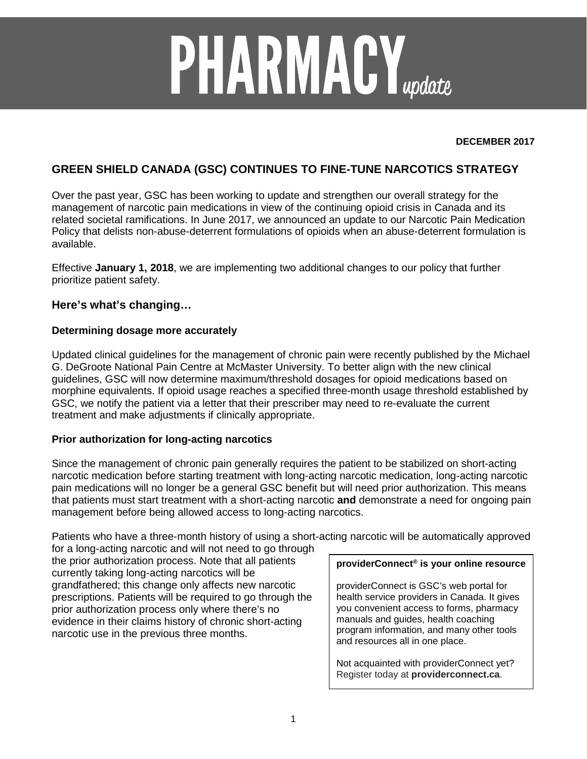# **PHARMACY**<sub>update</sub>

#### **DECEMBER 2017**

# **GREEN SHIELD CANADA (GSC) CONTINUES TO FINE-TUNE NARCOTICS STRATEGY**

Over the past year, GSC has been working to update and strengthen our overall strategy for the management of narcotic pain medications in view of the continuing opioid crisis in Canada and its related societal ramifications. In June 2017, we announced an update to our Narcotic Pain Medication Policy that delists non-abuse-deterrent formulations of opioids when an abuse-deterrent formulation is available.

Effective **January 1, 2018**, we are implementing two additional changes to our policy that further prioritize patient safety.

## **Here's what's changing…**

#### **Determining dosage more accurately**

Updated clinical guidelines for the management of chronic pain were recently published by the Michael G. DeGroote National Pain Centre at McMaster University. To better align with the new clinical guidelines, GSC will now determine maximum/threshold dosages for opioid medications based on morphine equivalents. If opioid usage reaches a specified three-month usage threshold established by GSC, we notify the patient via a letter that their prescriber may need to re-evaluate the current treatment and make adjustments if clinically appropriate.

### **Prior authorization for long-acting narcotics**

Since the management of chronic pain generally requires the patient to be stabilized on short-acting narcotic medication before starting treatment with long-acting narcotic medication, long-acting narcotic pain medications will no longer be a general GSC benefit but will need prior authorization. This means that patients must start treatment with a short-acting narcotic **and** demonstrate a need for ongoing pain management before being allowed access to long-acting narcotics.

Patients who have a three-month history of using a short-acting narcotic will be automatically approved for a long-acting narcotic and will not need to go through

the prior authorization process. Note that all patients currently taking long-acting narcotics will be grandfathered; this change only affects new narcotic prescriptions. Patients will be required to go through the prior authorization process only where there's no evidence in their claims history of chronic short-acting narcotic use in the previous three months.

#### **providerConnect® is your online resource**

providerConnect is GSC's web portal for health service providers in Canada. It gives you convenient access to forms, pharmacy manuals and guides, health coaching program information, and many other tools and resources all in one place.

Not acquainted with providerConnect yet? Register today at **providerconnect.ca**.